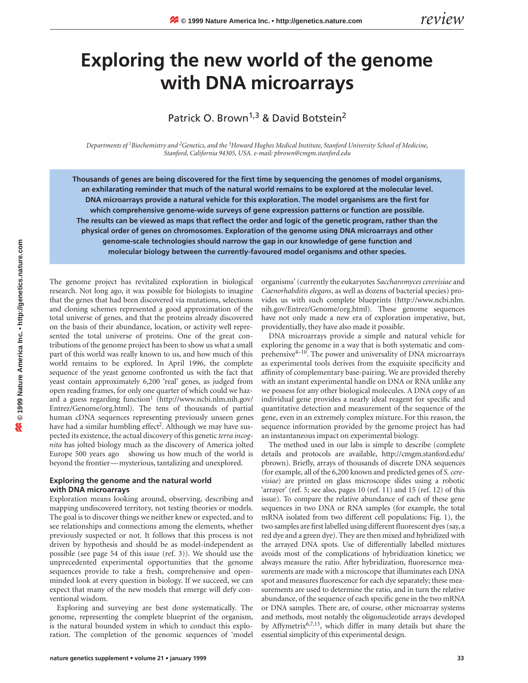# **Exploring the new world of the genome with DNA microarrays**

## Patrick O. Brown<sup>1,3</sup> & David Botstein<sup>2</sup>

*Departments of 1Biochemistry and 2Genetics, and the 3Howard Hughes Medical Institute, Stanford University School of Medicine, Stanford, California 94305, USA. e-mail: pbrown@cmgm.stanford.edu*

**Thousands of genes are being discovered for the first time by sequencing the genomes of model organisms, an exhilarating reminder that much of the natural world remains to be explored at the molecular level. DNA microarrays provide a natural vehicle for this exploration. The model organisms are the first for which comprehensive genome-wide surveys of gene expression patterns or function are possible. The results can be viewed as maps that reflect the order and logic of the genetic program, rather than the physical order of genes on chromosomes. Exploration of the genome using DNA microarrays and other genome-scale technologies should narrow the gap in our knowledge of gene function and molecular biology between the currently-favoured model organisms and other species.**

The genome project has revitalized exploration in biological research. Not long ago, it was possible for biologists to imagine that the genes that had been discovered via mutations, selections and cloning schemes represented a good approximation of the total universe of genes, and that the proteins already discovered on the basis of their abundance, location, or activity well represented the total universe of proteins. One of the great contributions of the genome project has been to show us what a small part of this world was really known to us, and how much of this world remains to be explored. In April 1996, the complete sequence of the yeast genome confronted us with the fact that yeast contain approximately 6,200 'real' genes, as judged from open reading frames, for only one quarter of which could we hazard a guess regarding function<sup>1</sup> (http://www.ncbi.nlm.nih.gov/ Entrez/Genome/org.html). The tens of thousands of partial human cDNA sequences representing previously unseen genes have had a similar humbling effect<sup>2</sup>. Although we may have suspected its existence, the actual discovery of this genetic *terra incognita* has jolted biology much as the discovery of America jolted Europe 500 years ago-showing us how much of the world is beyond the frontier—mysterious, tantalizing and unexplored.

#### **Exploring the genome and the natural world with DNA microarrays**

Exploration means looking around, observing, describing and mapping undiscovered territory, not testing theories or models. The goal is to discover things we neither knew or expected, and to see relationships and connections among the elements, whether previously suspected or not. It follows that this process is not driven by hypothesis and should be as model-independent as possible (see page 54 of this issue (ref. 3)). We should use the unprecedented experimental opportunities that the genome sequences provide to take a fresh, comprehensive and openminded look at every question in biology. If we succeed, we can expect that many of the new models that emerge will defy conventional wisdom.

Exploring and surveying are best done systematically. The genome, representing the complete blueprint of the organism, is the natural bounded system in which to conduct this exploration. The completion of the genomic sequences of 'model organisms' (currently the eukaryotes *Saccharomyces cerevisiae* and *Caenorhabditis elegans*, as well as dozens of bacterial species) provides us with such complete blueprints (http://www.ncbi.nlm. nih.gov/Entrez/Genome/org.html). These genome sequences have not only made a new era of exploration imperative, but, providentially, they have also made it possible.

DNA microarrays provide a simple and natural vehicle for exploring the genome in a way that is both systematic and comprehensive4–10. The power and universality of DNA microarrays as experimental tools derives from the exquisite specificity and affinity of complementary base-pairing. We are provided thereby with an instant experimental handle on DNA or RNA unlike any we possess for any other biological molecules. A DNA copy of an individual gene provides a nearly ideal reagent for specific and quantitative detection and measurement of the sequence of the gene, even in an extremely complex mixture. For this reason, the sequence information provided by the genome project has had an instantaneous impact on experimental biology.

The method used in our labs is simple to describe (complete details and protocols are available, http://cmgm.stanford.edu/ pbrown). Briefly, arrays of thousands of discrete DNA sequences (for example, all of the 6,200 known and predicted genes of *S. cerevisiae*) are printed on glass microscope slides using a robotic 'arrayer' (ref. 5; see also, pages 10 (ref. 11) and 15 (ref. 12) of this issue). To compare the relative abundance of each of these gene sequences in two DNA or RNA samples (for example, the total mRNA isolated from two different cell populations; Fig. 1), the two samples are first labelled using different fluorescent dyes (say, a red dye and a green dye). They are then mixed and hybridized with the arrayed DNA spots. Use of differentially labelled mixtures avoids most of the complications of hybridization kinetics; we always measure the ratio. After hybridization, fluorescence measurements are made with a microscope that illuminates each DNA spot and measures fluorescence for each dye separately; these measurements are used to determine the ratio, and in turn the relative abundance, of the sequence of each specific gene in the two mRNA or DNA samples. There are, of course, other microarray systems and methods, most notably the oligonucleotide arrays developed by Affymetrix6,7,13, which differ in many details but share the essential simplicity of this experimental design.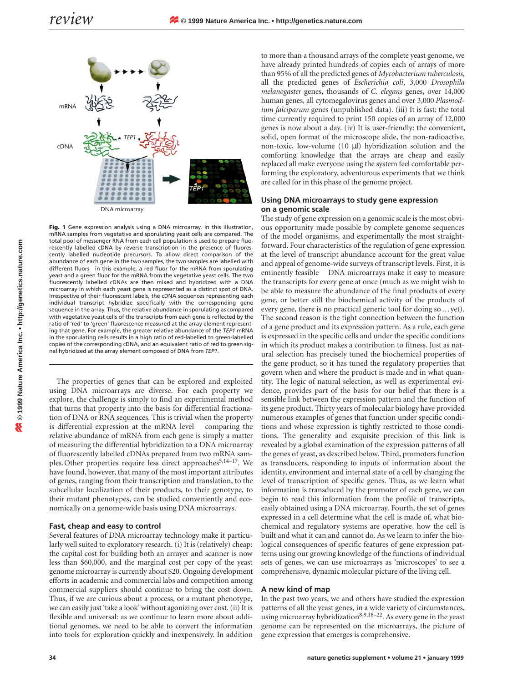

**Fig. 1** Gene expression analysis using a DNA microarray. In this illustration, mRNA samples from vegetative and sporulating yeast cells are compared. The total pool of messenger RNA from each cell population is used to prepare fluorescently labelled cDNA by reverse transcription in the presence of fluorescently labelled nucleotide precursors. To allow direct comparison of the abundance of each gene in the two samples, the two samples are labelled with different fluors-in this example, a red fluor for the mRNA from sporulating yeast and a green fluor for the mRNA from the vegetative yeast cells. The two fluorescently labelled cDNAs are then mixed and hybridized with a DNA microarray in which each yeast gene is represented as a distinct spot of DNA. Irrespective of their fluorescent labels, the cDNA sequences representing each individual transcript hybridize specifically with the corresponding gene sequence in the array. Thus, the relative abundance in sporulating as compared with vegetative yeast cells of the transcripts from each gene is reflected by the ratio of 'red' to 'green' fluorescence measured at the array element representing that gene. For example, the greater relative abundance of the *TEP1* mRNA in the sporulating cells results in a high ratio of red-labelled to green-labelled copies of the corresponding cDNA, and an equivalent ratio of red to green signal hybridized at the array element composed of DNA from *TEP1*.

The properties of genes that can be explored and exploited using DNA microarrays are diverse. For each property we explore, the challenge is simply to find an experimental method that turns that property into the basis for differential fractionation of DNA or RNA sequences. This is trivial when the property is differential expression at the mRNA level—comparing the relative abundance of mRNA from each gene is simply a matter of measuring the differential hybridization to a DNA microarray of fluorescently labelled cDNAs prepared from two mRNA samples. Other properties require less direct approaches<sup>5,14-17</sup>. We have found, however, that many of the most important attributes of genes, ranging from their transcription and translation, to the subcellular localization of their products, to their genotype, to their mutant phenotypes, can be studied conveniently and economically on a genome-wide basis using DNA microarrays.

#### **Fast, cheap and easy to control**

Several features of DNA microarray technology make it particularly well suited to exploratory research. (i) It is (relatively) cheap: the capital cost for building both an arrayer and scanner is now less than \$60,000, and the marginal cost per copy of the yeast genome microarray is currently about \$20. Ongoing development efforts in academic and commercial labs and competition among commercial suppliers should continue to bring the cost down. Thus, if we are curious about a process, or a mutant phenotype, we can easily just 'take a look' without agonizing over cost. (ii) It is flexible and universal: as we continue to learn more about additional genomes, we need to be able to convert the information into tools for exploration quickly and inexpensively. In addition to more than a thousand arrays of the complete yeast genome, we have already printed hundreds of copies each of arrays of more than 95% of all the predicted genes of *Mycobacterium tuberculosis*, all the predicted genes of *Escherichia coli*, 3,000 *Drosophila melanogaster* genes, thousands of *C. elegans* genes, over 14,000 human genes, all cytomegalovirus genes and over 3,000 *Plasmodium falciparum* genes (unpublished data). (iii) It is fast: the total time currently required to print 150 copies of an array of 12,000 genes is now about a day. (iv) It is user-friendly: the convenient, solid, open format of the microscope slide, the non-radioactive, non-toxic, low-volume (10 µl) hybridization solution and the comforting knowledge that the arrays are cheap and easily replaced all make everyone using the system feel comfortable performing the exploratory, adventurous experiments that we think are called for in this phase of the genome project.

#### **Using DNA microarrays to study gene expression on a genomic scale**

The study of gene expression on a genomic scale is the most obvious opportunity made possible by complete genome sequences of the model organisms, and experimentally the most straightforward. Four characteristics of the regulation of gene expression at the level of transcript abundance account for the great value and appeal of genome-wide surveys of transcript levels. First, it is eminently feasible—DNA microarrays make it easy to measure the transcripts for every gene at once (much as we might wish to be able to measure the abundance of the final products of every gene, or better still the biochemical activity of the products of every gene, there is no practical generic tool for doing so…yet). The second reason is the tight connection between the function of a gene product and its expression pattern. As a rule, each gene is expressed in the specific cells and under the specific conditions in which its product makes a contribution to fitness. Just as natural selection has precisely tuned the biochemical properties of the gene product, so it has tuned the regulatory properties that govern when and where the product is made and in what quantity. The logic of natural selection, as well as experimental evidence, provides part of the basis for our belief that there is a sensible link between the expression pattern and the function of its gene product. Thirty years of molecular biology have provided numerous examples of genes that function under specific conditions and whose expression is tightly restricted to those conditions. The generality and exquisite precision of this link is revealed by a global examination of the expression patterns of all the genes of yeast, as described below. Third, promoters function as transducers, responding to inputs of information about the identity, environment and internal state of a cell by changing the level of transcription of specific genes. Thus, as we learn what information is transduced by the promoter of each gene, we can begin to read this information from the profile of transcripts, easily obtained using a DNA microarray. Fourth, the set of genes expressed in a cell determine what the cell is made of, what biochemical and regulatory systems are operative, how the cell is built and what it can and cannot do. As we learn to infer the biological consequences of specific features of gene expression patterns using our growing knowledge of the functions of individual sets of genes, we can use microarrays as 'microscopes' to see a comprehensive, dynamic molecular picture of the living cell.

#### **A new kind of map**

In the past two years, we and others have studied the expression patterns of all the yeast genes, in a wide variety of circumstances, using microarray hybridization<sup>8,9,18–22</sup>. As every gene in the yeast genome can be represented on the microarrays, the picture of gene expression that emerges is comprehensive.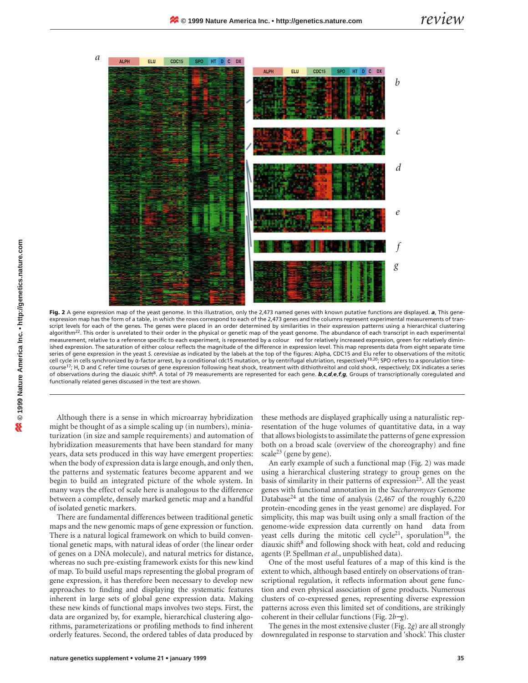



Fig. 2 A gene expression map of the yeast genome. In this illustration, only the 2,473 named genes with known putative functions are displayed. *a*, This geneexpression map has the form of a table, in which the rows correspond to each of the 2,473 genes and the columns represent experimental measurements of transcript levels for each of the genes. The genes were placed in an order determined by similarities in their expression patterns using a hierarchical clustering algorithm<sup>22</sup>. This order is unrelated to their order in the physical or genetic map of the yeast genome. The abundance of each transcript in each experimental measurement, relative to a reference specific to each experiment, is represented by a colour-red for relatively increased expression, green for relatively diminished expression. The saturation of either colour reflects the magnitude of the difference in expression level. This map represents data from eight separate time series of gene expression in the yeast *S. cerevisiae* as indicated by the labels at the top of the figures: Alpha, CDC15 and Elu refer to observations of the mitotic cell cycle in cells synchronized by α-factor arrest, by a conditional cdc15 mutation, or by centrifugal elutriation, respectively<sup>19,20</sup>; SPO refers to a sporulation timecourse17; H, D and C refer time courses of gene expression following heat shock, treatment with dithiothreitol and cold shock, respectively; DX indicates a series of observations during the diauxic shift8. A total of 79 measurements are represented for each gene. *b*,*c*,*d*,*e*,*f*,*g*, Groups of transcriptionally coregulated and functionally related genes discussed in the text are shown.

Although there is a sense in which microarray hybridization might be thought of as a simple scaling up (in numbers), miniaturization (in size and sample requirements) and automation of hybridization measurements that have been standard for many years, data sets produced in this way have emergent properties: when the body of expression data is large enough, and only then, the patterns and systematic features become apparent and we begin to build an integrated picture of the whole system. In many ways the effect of scale here is analogous to the difference between a complete, densely marked genetic map and a handful of isolated genetic markers.

There are fundamental differences between traditional genetic maps and the new genomic maps of gene expression or function. There is a natural logical framework on which to build conventional genetic maps, with natural ideas of order (the linear order of genes on a DNA molecule), and natural metrics for distance, whereas no such pre-existing framework exists for this new kind of map. To build useful maps representing the global program of gene expression, it has therefore been necessary to develop new approaches to finding and displaying the systematic features inherent in large sets of global gene expression data. Making these new kinds of functional maps involves two steps. First, the data are organized by, for example, hierarchical clustering algorithms, parameterizations or profiling methods to find inherent orderly features. Second, the ordered tables of data produced by

these methods are displayed graphically using a naturalistic representation of the huge volumes of quantitative data, in a way that allows biologists to assimilate the patterns of gene expression both on a broad scale (overview of the choreography) and fine scale<sup>23</sup> (gene by gene).

An early example of such a functional map (Fig. 2) was made using a hierarchical clustering strategy to group genes on the basis of similarity in their patterns of expression $^{23}$ . All the yeast genes with functional annotation in the *Saccharomyces* Genome Database<sup>24</sup> at the time of analysis  $(2,467$  of the roughly  $6,220$ protein-encoding genes in the yeast genome) are displayed. For simplicity, this map was built using only a small fraction of the genome-wide expression data currently on hand-data from yeast cells during the mitotic cell cycle<sup>21</sup>, sporulation<sup>18</sup>, the diauxic shift<sup>8</sup> and following shock with heat, cold and reducing agents (P. Spellman *et al*., unpublished data).

One of the most useful features of a map of this kind is the extent to which, although based entirely on observations of transcriptional regulation, it reflects information about gene function and even physical association of gene products. Numerous clusters of co-expressed genes, representing diverse expression patterns across even this limited set of conditions, are strikingly coherent in their cellular functions (Fig. 2*b*−*g*).

The genes in the most extensive cluster (Fig. 2*g*) are all strongly downregulated in response to starvation and 'shock'. This cluster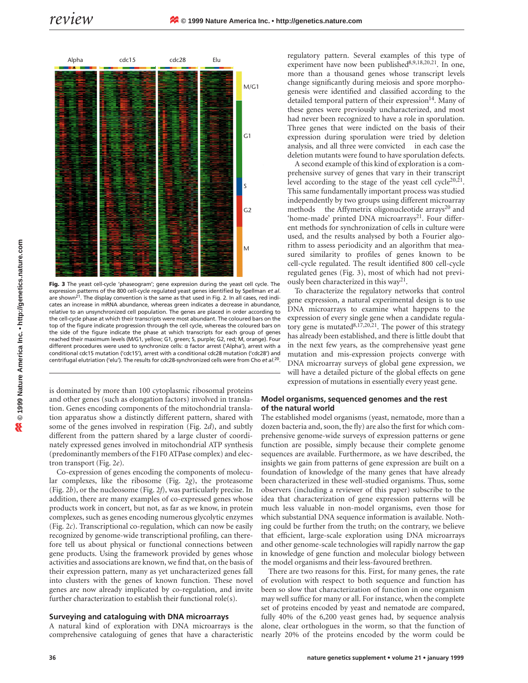

**Fig. 3** The yeast cell-cycle 'phaseogram'; gene expression during the yeast cell cycle. The expression patterns of the 800 cell-cycle regulated yeast genes identified by Spellman *et al*. are shown<sup>21</sup>. The display convention is the same as that used in Fig. 2. In all cases, red indicates an increase in mRNA abundance, whereas green indicates a decrease in abundance, relative to an unsynchronized cell population. The genes are placed in order according to the cell-cycle phase at which their transcripts were most abundant. The coloured bars on the top of the figure indicate progression through the cell cycle, whereas the coloured bars on the side of the figure indicate the phase at which transcripts for each group of genes reached their maximum levels (M/G1, yellow; G1, green; S, purple; G2, red; M, orange). Four different procedures were used to synchronize cells: α factor arrest ('Alpha'), arrest with a conditional cdc15 mutation ('cdc15'), arrest with a conditional cdc28 mutation ('cdc28') and centrifugal elutriation ('elu'). The results for cdc28-synchronized cells were from Cho *et al*. 20.

is dominated by more than 100 cytoplasmic ribosomal proteins and other genes (such as elongation factors) involved in translation. Genes encoding components of the mitochondrial translation apparatus show a distinctly different pattern, shared with some of the genes involved in respiration (Fig. 2*d*), and subtly different from the pattern shared by a large cluster of coordinately expressed genes involved in mitochondrial ATP synthesis (predominantly members of the F1F0 ATPase complex) and electron transport (Fig. 2*e*).

Co-expression of genes encoding the components of molecular complexes, like the ribosome (Fig. 2*g*), the proteasome (Fig. 2*b*), or the nucleosome (Fig. 2*f*), was particularly precise. In addition, there are many examples of co-expressed genes whose products work in concert, but not, as far as we know, in protein complexes, such as genes encoding numerous glycolytic enzymes (Fig. 2*c*). Transcriptional co-regulation, which can now be easily recognized by genome-wide transcriptional profiling, can therefore tell us about physical or functional connections between gene products. Using the framework provided by genes whose activities and associations are known, we find that, on the basis of their expression pattern, many as yet uncharacterized genes fall into clusters with the genes of known function. These novel genes are now already implicated by co-regulation, and invite further characterization to establish their functional role(s).

### **Surveying and cataloguing with DNA microarrays**

A natural kind of exploration with DNA microarrays is the comprehensive cataloguing of genes that have a characteristic regulatory pattern. Several examples of this type of experiment have now been published $8,9,18,20,21$ . In one, more than a thousand genes whose transcript levels change significantly during meiosis and spore morphogenesis were identified and classified according to the detailed temporal pattern of their expression $14$ . Many of these genes were previously uncharacterized, and most had never been recognized to have a role in sporulation. Three genes that were indicted on the basis of their expression during sporulation were tried by deletion analysis, and all three were convicted-in each case the deletion mutants were found to have sporulation defects.

A second example of this kind of exploration is a comprehensive survey of genes that vary in their transcript level according to the stage of the yeast cell cycle<sup>20,21</sup>. This same fundamentally important process was studied independently by two groups using different microarray methods—the Affymetrix oligonucleotide arrays<sup>20</sup> and 'home-made' printed DNA microarrays<sup>21</sup>. Four different methods for synchronization of cells in culture were used, and the results analysed by both a Fourier algorithm to assess periodicity and an algorithm that measured similarity to profiles of genes known to be cell-cycle regulated. The result identified 800 cell-cycle regulated genes (Fig. 3), most of which had not previously been characterized in this way<sup>21</sup>.

To characterize the regulatory networks that control gene expression, a natural experimental design is to use DNA microarrays to examine what happens to the expression of every single gene when a candidate regulatory gene is mutated $8,17,20,21$ . The power of this strategy has already been established, and there is little doubt that in the next few years, as the comprehensive yeast gene mutation and mis-expression projects converge with DNA microarray surveys of global gene expression, we will have a detailed picture of the global effects on gene expression of mutations in essentially every yeast gene.

#### **Model organisms, sequenced genomes and the rest of the natural world**

The established model organisms (yeast, nematode, more than a dozen bacteria and, soon, the fly) are also the first for which comprehensive genome-wide surveys of expression patterns or gene function are possible, simply because their complete genome sequences are available. Furthermore, as we have described, the insights we gain from patterns of gene expression are built on a foundation of knowledge of the many genes that have already been characterized in these well-studied organisms. Thus, some observers (including a reviewer of this paper) subscribe to the idea that characterization of gene expression patterns will be much less valuable in non-model organisms, even those for which substantial DNA sequence information is available. Nothing could be further from the truth; on the contrary, we believe that efficient, large-scale exploration using DNA microarrays and other genome-scale technologies will rapidly narrow the gap in knowledge of gene function and molecular biology between the model organisms and their less-favoured brethren.

There are two reasons for this. First, for many genes, the rate of evolution with respect to both sequence and function has been so slow that characterization of function in one organism may well suffice for many or all. For instance, when the complete set of proteins encoded by yeast and nematode are compared, fully 40% of the 6,200 yeast genes had, by sequence analysis alone, clear orthologues in the worm, so that the function of nearly 20% of the proteins encoded by the worm could be